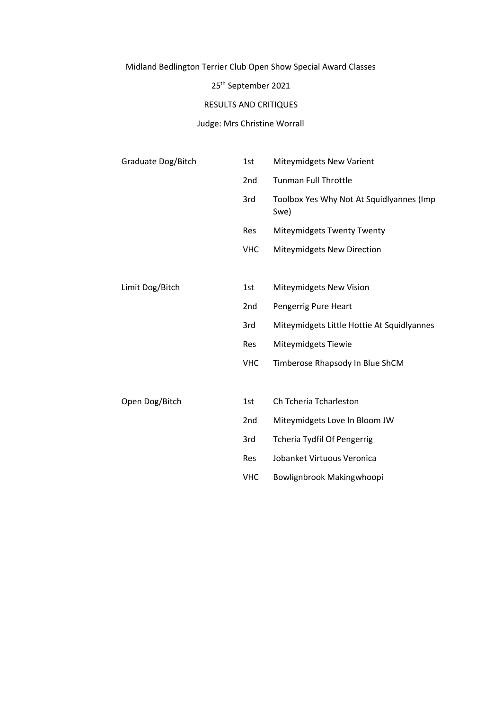## Midland Bedlington Terrier Club Open Show Special Award Classes

## 25th September 2021

## RESULTS AND CRITIQUES

### Judge: Mrs Christine Worrall

| Graduate Dog/Bitch | 1st             | <b>Miteymidgets New Varient</b>                  |
|--------------------|-----------------|--------------------------------------------------|
|                    | 2nd             | <b>Tunman Full Throttle</b>                      |
|                    | 3rd             | Toolbox Yes Why Not At Squidlyannes (Imp<br>Swe) |
|                    | <b>Res</b>      | Miteymidgets Twenty Twenty                       |
|                    | <b>VHC</b>      | Miteymidgets New Direction                       |
|                    |                 |                                                  |
| Limit Dog/Bitch    | 1st             | Miteymidgets New Vision                          |
|                    | 2 <sub>nd</sub> | Pengerrig Pure Heart                             |
|                    | 3rd             | Miteymidgets Little Hottie At Squidlyannes       |
|                    | Res             | Miteymidgets Tiewie                              |
|                    | <b>VHC</b>      | Timberose Rhapsody In Blue ShCM                  |
|                    |                 |                                                  |
| Open Dog/Bitch     | 1st             | Ch Tcheria Tcharleston                           |
|                    | 2nd             | Miteymidgets Love In Bloom JW                    |
|                    | 3rd             | <b>Tcheria Tydfil Of Pengerrig</b>               |
|                    | Res             | Jobanket Virtuous Veronica                       |
|                    | <b>VHC</b>      | Bowlignbrook Makingwhoopi                        |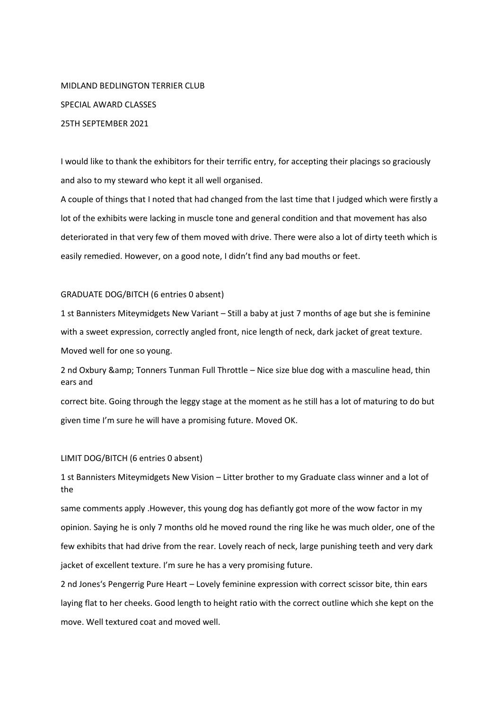# MIDLAND BEDLINGTON TERRIER CLUB SPECIAL AWARD CLASSES 25TH SEPTEMBER 2021

I would like to thank the exhibitors for their terrific entry, for accepting their placings so graciously and also to my steward who kept it all well organised.

A couple of things that I noted that had changed from the last time that I judged which were firstly a lot of the exhibits were lacking in muscle tone and general condition and that movement has also deteriorated in that very few of them moved with drive. There were also a lot of dirty teeth which is easily remedied. However, on a good note, I didn't find any bad mouths or feet.

#### GRADUATE DOG/BITCH (6 entries 0 absent)

1 st Bannisters Miteymidgets New Variant – Still a baby at just 7 months of age but she is feminine with a sweet expression, correctly angled front, nice length of neck, dark jacket of great texture. Moved well for one so young.

2 nd Oxbury & amp; Tonners Tunman Full Throttle – Nice size blue dog with a masculine head, thin ears and

correct bite. Going through the leggy stage at the moment as he still has a lot of maturing to do but given time I'm sure he will have a promising future. Moved OK.

### LIMIT DOG/BITCH (6 entries 0 absent)

1 st Bannisters Miteymidgets New Vision – Litter brother to my Graduate class winner and a lot of the

same comments apply .However, this young dog has defiantly got more of the wow factor in my opinion. Saying he is only 7 months old he moved round the ring like he was much older, one of the few exhibits that had drive from the rear. Lovely reach of neck, large punishing teeth and very dark jacket of excellent texture. I'm sure he has a very promising future.

2 nd Jones's Pengerrig Pure Heart – Lovely feminine expression with correct scissor bite, thin ears laying flat to her cheeks. Good length to height ratio with the correct outline which she kept on the move. Well textured coat and moved well.